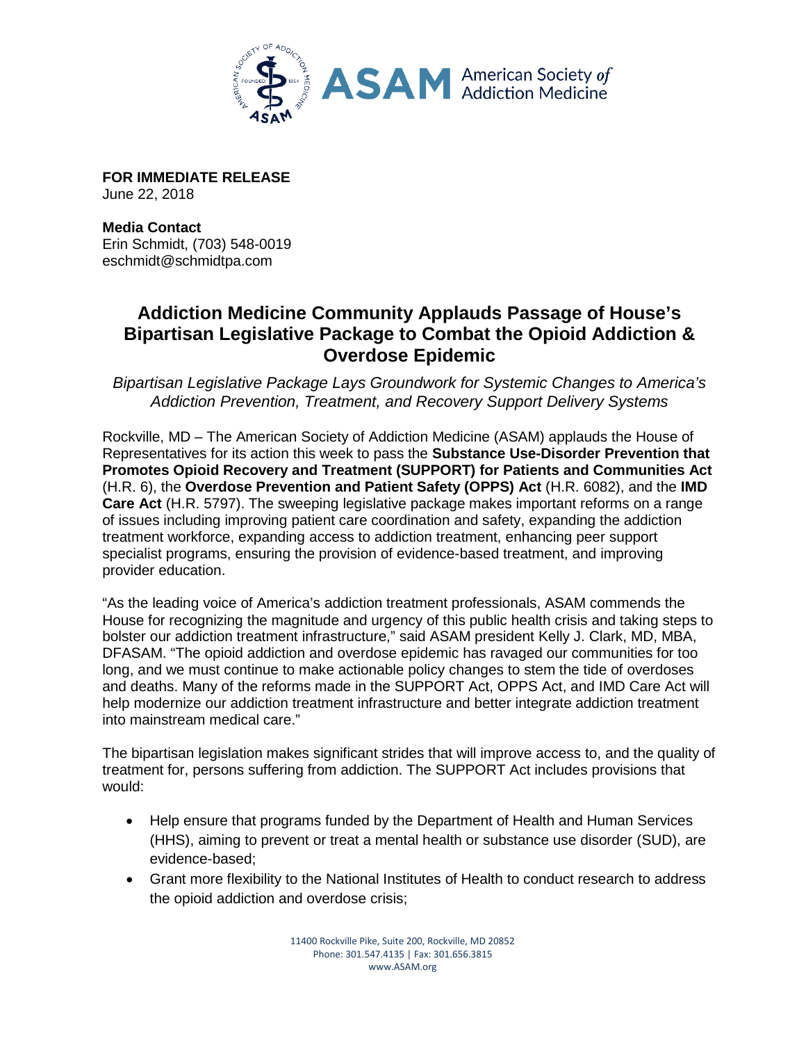

**FOR IMMEDIATE RELEASE** June 22, 2018

**Media Contact** Erin Schmidt, (703) 548-0019 eschmidt@schmidtpa.com

## **Addiction Medicine Community Applauds Passage of House's Bipartisan Legislative Package to Combat the Opioid Addiction & Overdose Epidemic**

*Bipartisan Legislative Package Lays Groundwork for Systemic Changes to America's Addiction Prevention, Treatment, and Recovery Support Delivery Systems* 

Rockville, MD – The American Society of Addiction Medicine (ASAM) applauds the House of Representatives for its action this week to pass the **Substance Use-Disorder Prevention that Promotes Opioid Recovery and Treatment (SUPPORT) for Patients and Communities Act**  (H.R. 6), the **Overdose Prevention and Patient Safety (OPPS) Act** (H.R. 6082), and the **IMD Care Act** (H.R. 5797). The sweeping legislative package makes important reforms on a range of issues including improving patient care coordination and safety, expanding the addiction treatment workforce, expanding access to addiction treatment, enhancing peer support specialist programs, ensuring the provision of evidence-based treatment, and improving provider education.

"As the leading voice of America's addiction treatment professionals, ASAM commends the House for recognizing the magnitude and urgency of this public health crisis and taking steps to bolster our addiction treatment infrastructure," said ASAM president Kelly J. Clark, MD, MBA, DFASAM. "The opioid addiction and overdose epidemic has ravaged our communities for too long, and we must continue to make actionable policy changes to stem the tide of overdoses and deaths. Many of the reforms made in the SUPPORT Act, OPPS Act, and IMD Care Act will help modernize our addiction treatment infrastructure and better integrate addiction treatment into mainstream medical care."

The bipartisan legislation makes significant strides that will improve access to, and the quality of treatment for, persons suffering from addiction. The SUPPORT Act includes provisions that would:

- Help ensure that programs funded by the Department of Health and Human Services (HHS), aiming to prevent or treat a mental health or substance use disorder (SUD), are evidence-based;
- Grant more flexibility to the National Institutes of Health to conduct research to address the opioid addiction and overdose crisis;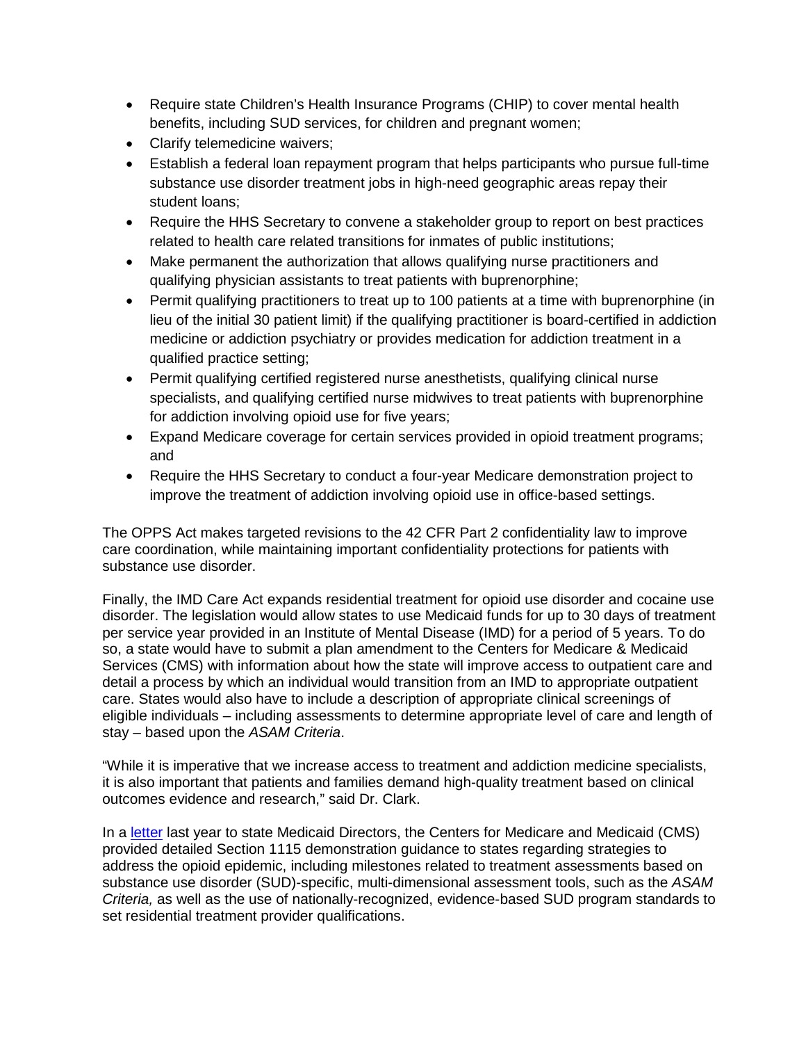- Require state Children's Health Insurance Programs (CHIP) to cover mental health benefits, including SUD services, for children and pregnant women;
- Clarify telemedicine waivers;
- Establish a federal loan repayment program that helps participants who pursue full-time substance use disorder treatment jobs in high-need geographic areas repay their student loans;
- Require the HHS Secretary to convene a stakeholder group to report on best practices related to health care related transitions for inmates of public institutions;
- Make permanent the authorization that allows qualifying nurse practitioners and qualifying physician assistants to treat patients with buprenorphine;
- Permit qualifying practitioners to treat up to 100 patients at a time with buprenorphine (in lieu of the initial 30 patient limit) if the qualifying practitioner is board-certified in addiction medicine or addiction psychiatry or provides medication for addiction treatment in a qualified practice setting;
- Permit qualifying certified registered nurse anesthetists, qualifying clinical nurse specialists, and qualifying certified nurse midwives to treat patients with buprenorphine for addiction involving opioid use for five years;
- Expand Medicare coverage for certain services provided in opioid treatment programs; and
- Require the HHS Secretary to conduct a four-year Medicare demonstration project to improve the treatment of addiction involving opioid use in office-based settings.

The OPPS Act makes targeted revisions to the 42 CFR Part 2 confidentiality law to improve care coordination, while maintaining important confidentiality protections for patients with substance use disorder.

Finally, the IMD Care Act expands residential treatment for opioid use disorder and cocaine use disorder. The legislation would allow states to use Medicaid funds for up to 30 days of treatment per service year provided in an Institute of Mental Disease (IMD) for a period of 5 years. To do so, a state would have to submit a plan amendment to the Centers for Medicare & Medicaid Services (CMS) with information about how the state will improve access to outpatient care and detail a process by which an individual would transition from an IMD to appropriate outpatient care. States would also have to include a description of appropriate clinical screenings of eligible individuals – including assessments to determine appropriate level of care and length of stay – based upon the *ASAM Criteria*.

"While it is imperative that we increase access to treatment and addiction medicine specialists, it is also important that patients and families demand high-quality treatment based on clinical outcomes evidence and research," said Dr. Clark.

In a [letter](https://www.medicaid.gov/federal-policy-guidance/downloads/smd17003.pdf) last year to state Medicaid Directors, the Centers for Medicare and Medicaid (CMS) provided detailed Section 1115 demonstration guidance to states regarding strategies to address the opioid epidemic, including milestones related to treatment assessments based on substance use disorder (SUD)-specific, multi-dimensional assessment tools, such as the *ASAM Criteria,* as well as the use of nationally-recognized, evidence-based SUD program standards to set residential treatment provider qualifications.